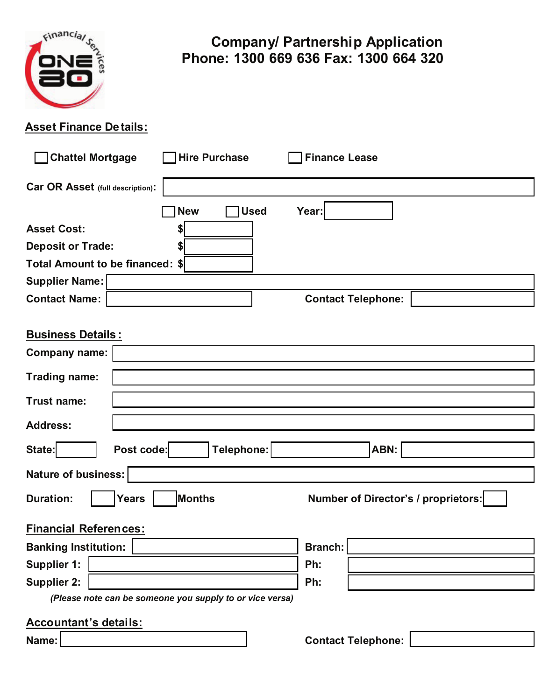

# **Company/ Partnership Application Phone: 1300 669 636 Fax: 1300 664 320**

### **Asset Finance Details:**

| <b>Chattel Mortgage</b><br><b>Hire Purchase</b><br><b>Finance Lease</b>           |  |  |  |  |  |
|-----------------------------------------------------------------------------------|--|--|--|--|--|
| Car OR Asset (full description):                                                  |  |  |  |  |  |
| <b>Used</b><br><b>New</b><br>Year:                                                |  |  |  |  |  |
| <b>Asset Cost:</b><br>\$                                                          |  |  |  |  |  |
| <b>Deposit or Trade:</b><br>\$                                                    |  |  |  |  |  |
| Total Amount to be financed: \$                                                   |  |  |  |  |  |
| <b>Supplier Name:</b>                                                             |  |  |  |  |  |
| <b>Contact Name:</b><br><b>Contact Telephone:</b>                                 |  |  |  |  |  |
|                                                                                   |  |  |  |  |  |
| <b>Business Details:</b>                                                          |  |  |  |  |  |
| <b>Company name:</b>                                                              |  |  |  |  |  |
| Trading name:                                                                     |  |  |  |  |  |
|                                                                                   |  |  |  |  |  |
| Trust name:                                                                       |  |  |  |  |  |
| <b>Address:</b>                                                                   |  |  |  |  |  |
| Post code:<br>Telephone:<br>ABN:<br>State:                                        |  |  |  |  |  |
|                                                                                   |  |  |  |  |  |
| Nature of business:                                                               |  |  |  |  |  |
| Months<br><b>Duration:</b><br>Number of Director's / proprietors:<br><b>Years</b> |  |  |  |  |  |
| <b>Financial References:</b>                                                      |  |  |  |  |  |
| <b>Banking Institution:</b><br><b>Branch:</b>                                     |  |  |  |  |  |
| <b>Supplier 1:</b><br>Ph:                                                         |  |  |  |  |  |
| <b>Supplier 2:</b><br>Ph:                                                         |  |  |  |  |  |
| (Please note can be someone you supply to or vice versa)                          |  |  |  |  |  |
| <b>Accountant's details:</b>                                                      |  |  |  |  |  |

**Name:** Name: **Name: Name: Contact Telephone:** [